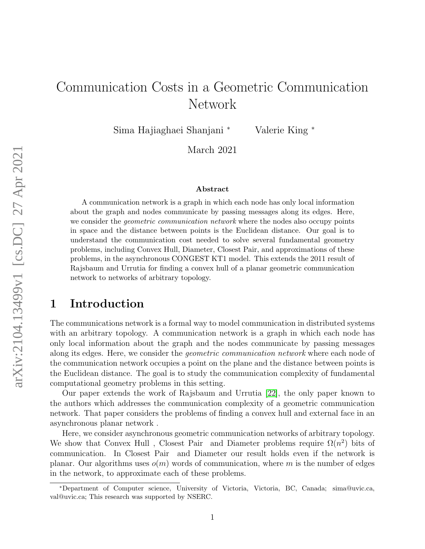# Communication Costs in a Geometric Communication Network

Sima Hajiaghaei Shanjani <sup>∗</sup> Valerie King <sup>∗</sup>

March 2021

#### Abstract

A communication network is a graph in which each node has only local information about the graph and nodes communicate by passing messages along its edges. Here, we consider the *geometric communication network* where the nodes also occupy points in space and the distance between points is the Euclidean distance. Our goal is to understand the communication cost needed to solve several fundamental geometry problems, including Convex Hull, Diameter, Closest Pair, and approximations of these problems, in the asynchronous CONGEST KT1 model. This extends the 2011 result of Rajsbaum and Urrutia for finding a convex hull of a planar geometric communication network to networks of arbitrary topology.

# 1 Introduction

The communications network is a formal way to model communication in distributed systems with an arbitrary topology. A communication network is a graph in which each node has only local information about the graph and the nodes communicate by passing messages along its edges. Here, we consider the *geometric communication network* where each node of the communication network occupies a point on the plane and the distance between points is the Euclidean distance. The goal is to study the communication complexity of fundamental computational geometry problems in this setting.

Our paper extends the work of Rajsbaum and Urrutia [\[22\]](#page-21-0), the only paper known to the authors which addresses the communication complexity of a geometric communication network. That paper considers the problems of finding a convex hull and external face in an asynchronous planar network .

Here, we consider asynchronous geometric communication networks of arbitrary topology. We show that Convex Hull, Closest Pair and Diameter problems require  $\Omega(n^2)$  bits of communication. In Closest Pair and Diameter our result holds even if the network is planar. Our algorithms uses  $o(m)$  words of communication, where m is the number of edges in the network, to approximate each of these problems.

<sup>∗</sup>Department of Computer science, University of Victoria, Victoria, BC, Canada; sima@uvic.ca, val@uvic.ca; This research was supported by NSERC.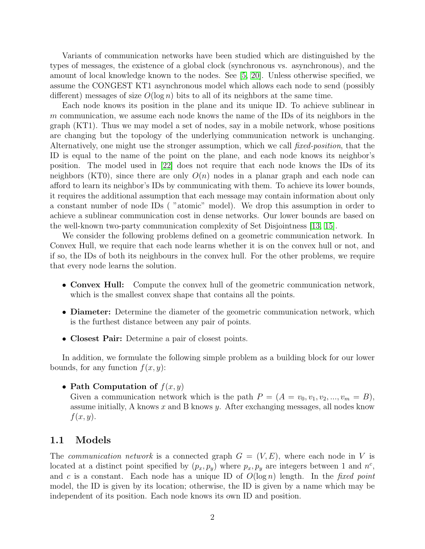Variants of communication networks have been studied which are distinguished by the types of messages, the existence of a global clock (synchronous vs. asynchronous), and the amount of local knowledge known to the nodes. See [\[5,](#page-19-0) [20\]](#page-20-0). Unless otherwise specified, we assume the CONGEST KT1 asynchronous model which allows each node to send (possibly different) messages of size  $O(\log n)$  bits to all of its neighbors at the same time.

Each node knows its position in the plane and its unique ID. To achieve sublinear in m communication, we assume each node knows the name of the IDs of its neighbors in the graph (KT1). Thus we may model a set of nodes, say in a mobile network, whose positions are changing but the topology of the underlying communication network is unchanging. Alternatively, one might use the stronger assumption, which we call fixed-position, that the ID is equal to the name of the point on the plane, and each node knows its neighbor's position. The model used in [\[22\]](#page-21-0) does not require that each node knows the IDs of its neighbors (KT0), since there are only  $O(n)$  nodes in a planar graph and each node can afford to learn its neighbor's IDs by communicating with them. To achieve its lower bounds, it requires the additional assumption that each message may contain information about only a constant number of node IDs ( "atomic" model). We drop this assumption in order to achieve a sublinear communication cost in dense networks. Our lower bounds are based on the well-known two-party communication complexity of Set Disjointness [\[13,](#page-20-1) [15\]](#page-20-2).

We consider the following problems defined on a geometric communication network. In Convex Hull, we require that each node learns whether it is on the convex hull or not, and if so, the IDs of both its neighbours in the convex hull. For the other problems, we require that every node learns the solution.

- Convex Hull: Compute the convex hull of the geometric communication network, which is the smallest convex shape that contains all the points.
- **Diameter:** Determine the diameter of the geometric communication network, which is the furthest distance between any pair of points.
- Closest Pair: Determine a pair of closest points.

In addition, we formulate the following simple problem as a building block for our lower bounds, for any function  $f(x, y)$ :

#### • Path Computation of  $f(x, y)$

Given a communication network which is the path  $P = (A = v_0, v_1, v_2, ..., v_m = B)$ , assume initially, A knows  $x$  and B knows  $y$ . After exchanging messages, all nodes know  $f(x, y)$ .

### 1.1 Models

The *communication network* is a connected graph  $G = (V, E)$ , where each node in V is located at a distinct point specified by  $(p_x, p_y)$  where  $p_x, p_y$  are integers between 1 and  $n^c$ , and c is a constant. Each node has a unique ID of  $O(\log n)$  length. In the fixed point model, the ID is given by its location; otherwise, the ID is given by a name which may be independent of its position. Each node knows its own ID and position.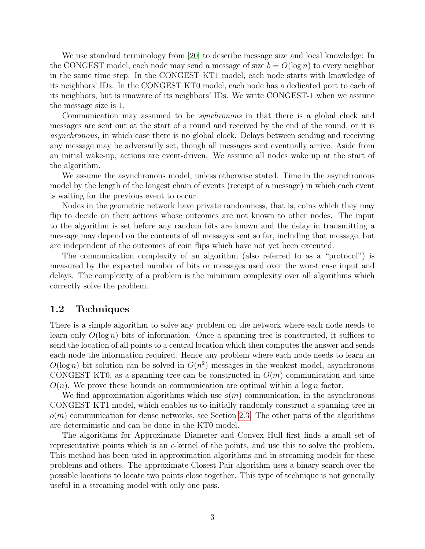We use standard terminology from [\[20\]](#page-20-0) to describe message size and local knowledge: In the CONGEST model, each node may send a message of size  $b = O(\log n)$  to every neighbor in the same time step. In the CONGEST KT1 model, each node starts with knowledge of its neighbors' IDs. In the CONGEST KT0 model, each node has a dedicated port to each of its neighbors, but is unaware of its neighbors' IDs. We write CONGEST-1 when we assume the message size is 1.

Communication may assumed to be *synchronous* in that there is a global clock and messages are sent out at the start of a round and received by the end of the round, or it is asynchronous, in which case there is no global clock. Delays between sending and receiving any message may be adversarily set, though all messages sent eventually arrive. Aside from an initial wake-up, actions are event-driven. We assume all nodes wake up at the start of the algorithm.

We assume the asynchronous model, unless otherwise stated. Time in the asynchronous model by the length of the longest chain of events (receipt of a message) in which each event is waiting for the previous event to occur.

Nodes in the geometric network have private randomness, that is, coins which they may flip to decide on their actions whose outcomes are not known to other nodes. The input to the algorithm is set before any random bits are known and the delay in transmitting a message may depend on the contents of all messages sent so far, including that message, but are independent of the outcomes of coin flips which have not yet been executed.

The communication complexity of an algorithm (also referred to as a "protocol") is measured by the expected number of bits or messages used over the worst case input and delays. The complexity of a problem is the minimum complexity over all algorithms which correctly solve the problem.

#### 1.2 Techniques

There is a simple algorithm to solve any problem on the network where each node needs to learn only  $O(\log n)$  bits of information. Once a spanning tree is constructed, it suffices to send the location of all points to a central location which then computes the answer and sends each node the information required. Hence any problem where each node needs to learn an  $O(\log n)$  bit solution can be solved in  $O(n^2)$  messages in the weakest model, asynchronous CONGEST KT0, as a spanning tree can be constructed in  $O(m)$  communication and time  $O(n)$ . We prove these bounds on communication are optimal within a log n factor.

We find approximation algorithms which use  $o(m)$  communication, in the asynchronous CONGEST KT1 model, which enables us to initially randomly construct a spanning tree in  $o(m)$  communication for dense networks, see Section [2.3.](#page-7-0) The other parts of the algorithms are deterministic and can be done in the KT0 model.

The algorithms for Approximate Diameter and Convex Hull first finds a small set of representative points which is an  $\epsilon$ -kernel of the points, and use this to solve the problem. This method has been used in approximation algorithms and in streaming models for these problems and others. The approximate Closest Pair algorithm uses a binary search over the possible locations to locate two points close together. This type of technique is not generally useful in a streaming model with only one pass.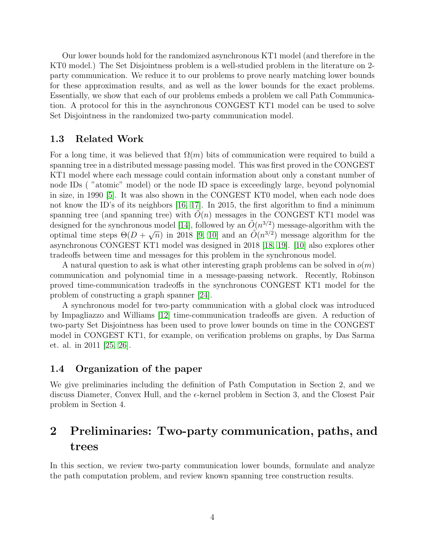Our lower bounds hold for the randomized asynchronous KT1 model (and therefore in the KT0 model.) The Set Disjointness problem is a well-studied problem in the literature on 2 party communication. We reduce it to our problems to prove nearly matching lower bounds for these approximation results, and as well as the lower bounds for the exact problems. Essentially, we show that each of our problems embeds a problem we call Path Communication. A protocol for this in the asynchronous CONGEST KT1 model can be used to solve Set Disjointness in the randomized two-party communication model.

#### 1.3 Related Work

For a long time, it was believed that  $\Omega(m)$  bits of communication were required to build a spanning tree in a distributed message passing model. This was first proved in the CONGEST KT1 model where each message could contain information about only a constant number of node IDs ( "atomic" model) or the node ID space is exceedingly large, beyond polynomial in size, in 1990 [\[5\]](#page-19-0). It was also shown in the CONGEST KT0 model, when each node does not know the ID's of its neighbors [\[16,](#page-20-3) [17\]](#page-20-4). In 2015, the first algorithm to find a minimum spanning tree (and spanning tree) with  $O(n)$  messages in the CONGEST KT1 model was designed for the synchronous model [\[14\]](#page-20-5), followed by an  $\tilde{O}(n^{3/2})$  message-algorithm with the optimal time steps  $\Theta(D+\sqrt{n})$  in 2018 [\[9,](#page-20-6) [10\]](#page-20-7) and an  $\tilde{O}(n^{3/2})$  message algorithm for the asynchronous CONGEST KT1 model was designed in 2018 [\[18,](#page-20-8) [19\]](#page-20-9). [\[10\]](#page-20-7) also explores other tradeoffs between time and messages for this problem in the synchronous model.

A natural question to ask is what other interesting graph problems can be solved in  $o(m)$ communication and polynomial time in a message-passing network. Recently, Robinson proved time-communication tradeoffs in the synchronous CONGEST KT1 model for the problem of constructing a graph spanner [\[24\]](#page-21-1).

A synchronous model for two-party communication with a global clock was introduced by Impagliazzo and Williams [\[12\]](#page-20-10) time-communication tradeoffs are given. A reduction of two-party Set Disjointness has been used to prove lower bounds on time in the CONGEST model in CONGEST KT1, for example, on verification problems on graphs, by Das Sarma et. al. in 2011 [\[25,](#page-21-2) [26\]](#page-21-3).

#### 1.4 Organization of the paper

We give preliminaries including the definition of Path Computation in Section 2, and we discuss Diameter, Convex Hull, and the  $\epsilon$ -kernel problem in Section 3, and the Closest Pair problem in Section 4.

# 2 Preliminaries: Two-party communication, paths, and trees

In this section, we review two-party communication lower bounds, formulate and analyze the path computation problem, and review known spanning tree construction results.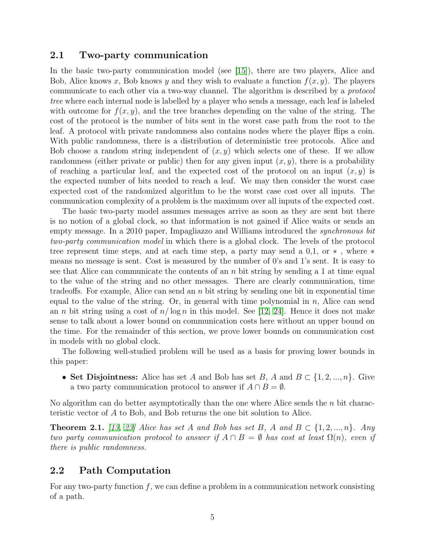#### 2.1 Two-party communication

In the basic two-party communication model (see [\[15\]](#page-20-2)), there are two players, Alice and Bob, Alice knows x, Bob knows y and they wish to evaluate a function  $f(x, y)$ . The players communicate to each other via a two-way channel. The algorithm is described by a protocol tree where each internal node is labelled by a player who sends a message, each leaf is labeled with outcome for  $f(x, y)$ , and the tree branches depending on the value of the string. The cost of the protocol is the number of bits sent in the worst case path from the root to the leaf. A protocol with private randomness also contains nodes where the player flips a coin. With public randomness, there is a distribution of deterministic tree protocols. Alice and Bob choose a random string independent of  $(x, y)$  which selects one of these. If we allow randomness (either private or public) then for any given input  $(x, y)$ , there is a probability of reaching a particular leaf, and the expected cost of the protocol on an input  $(x, y)$  is the expected number of bits needed to reach a leaf. We may then consider the worst case expected cost of the randomized algorithm to be the worst case cost over all inputs. The communication complexity of a problem is the maximum over all inputs of the expected cost.

The basic two-party model assumes messages arrive as soon as they are sent but there is no notion of a global clock, so that information is not gained if Alice waits or sends an empty message. In a 2010 paper, Impagliazzo and Williams introduced the *synchronous bit* two-party communication model in which there is a global clock. The levels of the protocol tree represent time steps, and at each time step, a party may send a 0,1, or ∗ , where ∗ means no message is sent. Cost is measured by the number of 0's and 1's sent. It is easy to see that Alice can communicate the contents of an n bit string by sending a 1 at time equal to the value of the string and no other messages. There are clearly communication, time tradeoffs. For example, Alice can send an  $n$  bit string by sending one bit in exponential time equal to the value of the string. Or, in general with time polynomial in  $n$ , Alice can send an *n* bit string using a cost of  $n/\log n$  in this model. See [\[12,](#page-20-10) [24\]](#page-21-1). Hence it does not make sense to talk about a lower bound on communication costs here without an upper bound on the time. For the remainder of this section, we prove lower bounds on communication cost in models with no global clock.

The following well-studied problem will be used as a basis for proving lower bounds in this paper:

• Set Disjointness: Alice has set A and Bob has set B, A and  $B \subset \{1, 2, ..., n\}$ . Give a two party communication protocol to answer if  $A \cap B = \emptyset$ .

No algorithm can do better asymptotically than the one where Alice sends the  $n$  bit characteristic vector of A to Bob, and Bob returns the one bit solution to Alice.

**Theorem 2.1.** [\[13,](#page-20-1) [23\]](#page-21-4) Alice has set A and Bob has set B, A and  $B \subset \{1, 2, ..., n\}$ . Any two party communication protocol to answer if  $A \cap B = \emptyset$  has cost at least  $\Omega(n)$ , even if there is public randomness.

## 2.2 Path Computation

For any two-party function  $f$ , we can define a problem in a communication network consisting of a path.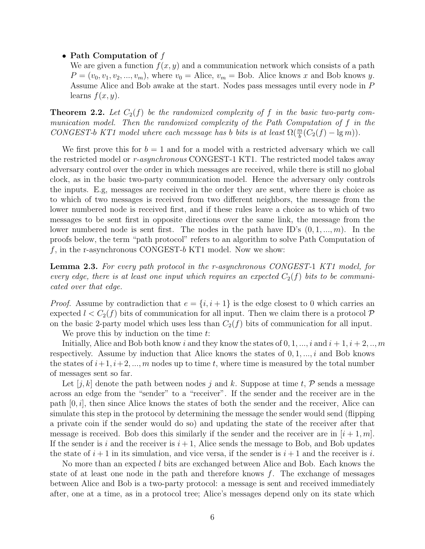• Path Computation of  $f$ 

We are given a function  $f(x, y)$  and a communication network which consists of a path  $P = (v_0, v_1, v_2, ..., v_m)$ , where  $v_0 =$  Alice,  $v_m =$  Bob. Alice knows x and Bob knows y. Assume Alice and Bob awake at the start. Nodes pass messages until every node in P learns  $f(x, y)$ .

<span id="page-5-0"></span>**Theorem 2.2.** Let  $C_2(f)$  be the randomized complexity of f in the basic two-party communication model. Then the randomized complexity of the Path Computation of f in the CONGEST-b KT1 model where each message has b bits is at least  $\Omega(\frac{m}{b}(C_2(f) - \lg m))$ .

We first prove this for  $b = 1$  and for a model with a restricted adversary which we call the restricted model or r-asynchronous CONGEST-1 KT1. The restricted model takes away adversary control over the order in which messages are received, while there is still no global clock, as in the basic two-party communication model. Hence the adversary only controls the inputs. E.g, messages are received in the order they are sent, where there is choice as to which of two messages is received from two different neighbors, the message from the lower numbered node is received first, and if these rules leave a choice as to which of two messages to be sent first in opposite directions over the same link, the message from the lower numbered node is sent first. The nodes in the path have ID's  $(0, 1, ..., m)$ . In the proofs below, the term "path protocol" refers to an algorithm to solve Path Computation of  $f$ , in the r-asynchronous CONGEST- $b$  KT1 model. Now we show:

<span id="page-5-1"></span>Lemma 2.3. For every path protocol in the r-asynchronous CONGEST-1 KT1 model, for every edge, there is at least one input which requires an expected  $C_2(f)$  bits to be communicated over that edge.

*Proof.* Assume by contradiction that  $e = \{i, i + 1\}$  is the edge closest to 0 which carries an expected  $l < C_2(f)$  bits of communication for all input. Then we claim there is a protocol  $\mathcal P$ on the basic 2-party model which uses less than  $C_2(f)$  bits of communication for all input.

We prove this by induction on the time  $t$ :

Initially, Alice and Bob both know i and they know the states of  $0, 1, ..., i$  and  $i + 1, i + 2, ..., m$ respectively. Assume by induction that Alice knows the states of  $0, 1, \ldots, i$  and Bob knows the states of  $i+1, i+2, ..., m$  nodes up to time t, where time is measured by the total number of messages sent so far.

Let  $[j, k]$  denote the path between nodes j and k. Suppose at time t, P sends a message across an edge from the "sender" to a "receiver". If the sender and the receiver are in the path  $[0, i]$ , then since Alice knows the states of both the sender and the receiver, Alice can simulate this step in the protocol by determining the message the sender would send (flipping a private coin if the sender would do so) and updating the state of the receiver after that message is received. Bob does this similarly if the sender and the receiver are in  $[i + 1, m]$ . If the sender is i and the receiver is  $i + 1$ , Alice sends the message to Bob, and Bob updates the state of  $i+1$  in its simulation, and vice versa, if the sender is  $i+1$  and the receiver is i.

No more than an expected l bits are exchanged between Alice and Bob. Each knows the state of at least one node in the path and therefore knows  $f$ . The exchange of messages between Alice and Bob is a two-party protocol: a message is sent and received immediately after, one at a time, as in a protocol tree; Alice's messages depend only on its state which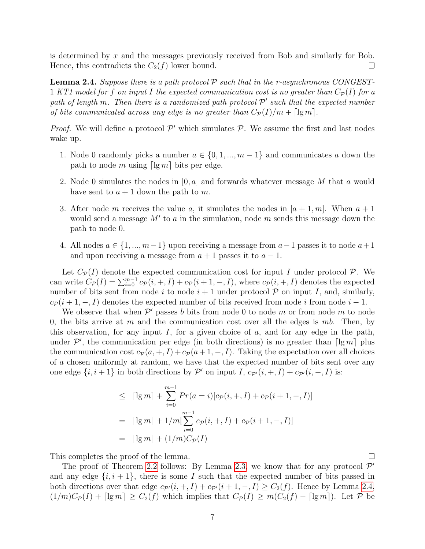is determined by  $x$  and the messages previously received from Bob and similarly for Bob. Hence, this contradicts the  $C_2(f)$  lower bound.  $\Box$ 

<span id="page-6-0"></span>**Lemma 2.4.** Suppose there is a path protocol  $\mathcal{P}$  such that in the r-asynchronous CONGEST-1 KT1 model for f on input I the expected communication cost is no greater than  $C_{\mathcal{P}}(I)$  for a path of length m. Then there is a randomized path protocol  $\mathcal{P}'$  such that the expected number of bits communicated across any edge is no greater than  $C_{\mathcal{P}}(I)/m + \lceil \lg m \rceil$ .

*Proof.* We will define a protocol  $\mathcal{P}'$  which simulates  $\mathcal{P}$ . We assume the first and last nodes wake up.

- 1. Node 0 randomly picks a number  $a \in \{0, 1, ..., m-1\}$  and communicates a down the path to node m using  $\lceil \lg m \rceil$  bits per edge.
- 2. Node 0 simulates the nodes in  $[0, a]$  and forwards whatever message M that a would have sent to  $a + 1$  down the path to m.
- 3. After node m receives the value a, it simulates the nodes in  $[a + 1, m]$ . When  $a + 1$ would send a message  $M'$  to a in the simulation, node  $m$  sends this message down the path to node 0.
- 4. All nodes  $a \in \{1, ..., m-1\}$  upon receiving a message from  $a-1$  passes it to node  $a+1$ and upon receiving a message from  $a + 1$  passes it to  $a - 1$ .

Let  $C_{\mathcal{P}}(I)$  denote the expected communication cost for input I under protocol P. We can write  $C_{\mathcal{P}}(I) = \sum_{i=0}^{m-1} c_{\mathcal{P}}(i,+,I) + c_{\mathcal{P}}(i+1,-,I)$ , where  $c_{\mathcal{P}}(i,+,I)$  denotes the expected number of bits sent from node i to node  $i + 1$  under protocol  $P$  on input I, and, similarly,  $c_P(i + 1, -, I)$  denotes the expected number of bits received from node i from node  $i - 1$ .

We observe that when  $\mathcal{P}'$  passes b bits from node 0 to node m or from node m to node 0, the bits arrive at m and the communication cost over all the edges is mb. Then, by this observation, for any input  $I$ , for a given choice of  $a$ , and for any edge in the path, under  $\mathcal{P}'$ , the communication per edge (in both directions) is no greater than  $\lceil \lg m \rceil$  plus the communication cost  $c_{\mathcal{P}}(a, +, I) + c_{\mathcal{P}}(a + 1, -, I)$ . Taking the expectation over all choices of a chosen uniformly at random, we have that the expected number of bits sent over any one edge  $\{i, i+1\}$  in both directions by  $\mathcal{P}'$  on input I,  $c_{\mathcal{P}'}(i, +, I) + c_{\mathcal{P}'}(i, -, I)$  is:

$$
\leq \left[lg m\right] + \sum_{i=0}^{m-1} Pr(a = i)[c_{\mathcal{P}}(i, +, I) + c_{\mathcal{P}}(i + 1, -, I)]
$$

$$
= \left[lg m\right] + 1/m[\sum_{i=0}^{m-1} c_{\mathcal{P}}(i, +, I) + c_{\mathcal{P}}(i + 1, -, I)]
$$

$$
= \left[lg m\right] + (1/m)C_{\mathcal{P}}(I)
$$

This completes the proof of the lemma.

The proof of Theorem [2.2](#page-5-0) follows: By Lemma [2.3,](#page-5-1) we know that for any protocol  $\mathcal{P}'$ and any edge  $\{i, i+1\}$ , there is some I such that the expected number of bits passed in both directions over that edge  $c_{\mathcal{P}'}(i, +, I) + c_{\mathcal{P}'}(i + 1, -, I) \geq C_2(f)$ . Hence by Lemma [2.4,](#page-6-0)  $(1/m)C_{\mathcal{P}}(I) + \lceil \lg m \rceil \geq C_2(f)$  which implies that  $C_{\mathcal{P}}(I) \geq m(C_2(f) - \lceil \lg m \rceil)$ . Let  $\mathcal{P}$  be

 $\Box$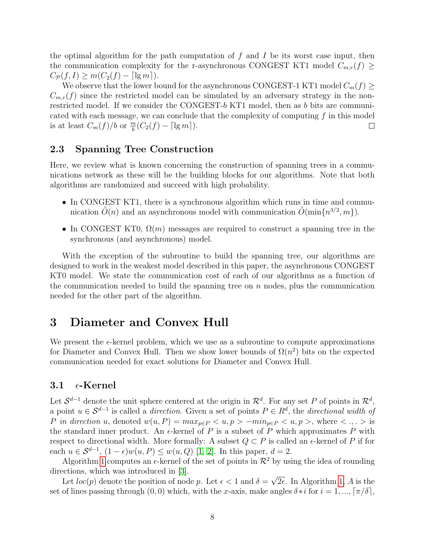the optimal algorithm for the path computation of  $f$  and  $I$  be its worst case input, then the communication complexity for the r-asynchronous CONGEST KT1 model  $C_{m,r}(f) \geq$  $C_{\mathcal{P}}(f, I) \geq m(C_2(f) - \lceil \lg m \rceil).$ 

We observe that the lower bound for the asynchronous CONGEST-1 KT1 model  $C_m(f) \geq$  $C_{m,r}(f)$  since the restricted model can be simulated by an adversary strategy in the nonrestricted model. If we consider the CONGEST-b KT1 model, then as b bits are communicated with each message, we can conclude that the complexity of computing  $f$  in this model is at least  $C_m(f)/b$  or  $\frac{m}{b}(C_2(f) - \lceil \lg m \rceil)$ .  $\Box$ 

### <span id="page-7-0"></span>2.3 Spanning Tree Construction

Here, we review what is known concerning the construction of spanning trees in a communications network as these will be the building blocks for our algorithms. Note that both algorithms are randomized and succeed with high probability.

- In CONGEST KT1, there is a synchronous algorithm which runs in time and communication  $\tilde{O}(n)$  and an asynchronous model with communication  $\tilde{O}(\min\{n^{3/2}, m\})$ .
- In CONGEST KT0,  $\Omega(m)$  messages are required to construct a spanning tree in the synchronous (and asynchronous) model.

With the exception of the subroutine to build the spanning tree, our algorithms are designed to work in the weakest model described in this paper, the asynchronous CONGEST KT0 model. We state the communication cost of each of our algorithms as a function of the communication needed to build the spanning tree on  $n$  nodes, plus the communication needed for the other part of the algorithm.

# 3 Diameter and Convex Hull

We present the  $\epsilon$ -kernel problem, which we use as a subroutine to compute approximations for Diameter and Convex Hull. Then we show lower bounds of  $\Omega(n^2)$  bits on the expected communication needed for exact solutions for Diameter and Convex Hull.

## 3.1  $\epsilon$ -Kernel

Let  $\mathcal{S}^{d-1}$  denote the unit sphere centered at the origin in  $\mathcal{R}^d$ . For any set P of points in  $\mathcal{R}^d$ , a point  $u \in S^{d-1}$  is called a *direction*. Given a set of points  $P \in R^d$ , the *directional width of* P in direction u, denoted  $w(u, P) = max_{p \in P} \langle u, p \rangle - min_{p \in P} \langle u, p \rangle$ , where  $\langle \cdot, \cdot \rangle$  is the standard inner product. An  $\epsilon$ -kernel of P is a subset of P which approximates P with respect to directional width. More formally: A subset  $Q \subset P$  is called an  $\epsilon$ -kernel of P if for each  $u \in \mathcal{S}^{d-1}$ ,  $(1 - \epsilon)w(u, P) \leq w(u, Q)$  [\[1,](#page-19-1) [2\]](#page-19-2). In this paper,  $d = 2$ .

Algorithm [1](#page-8-0) computes an  $\epsilon$ -kernel of the set of points in  $\mathcal{R}^2$  by using the idea of rounding directions, which was introduced in [\[3\]](#page-19-3). √

Let  $loc(p)$  denote the position of node p. Let  $\epsilon < 1$  and  $\delta =$  $2\epsilon$ . In Algorithm [1,](#page-8-0) A is the set of lines passing through  $(0, 0)$  which, with the x-axis, make angles  $\delta * i$  for  $i = 1, ..., [\pi/\delta]$ ,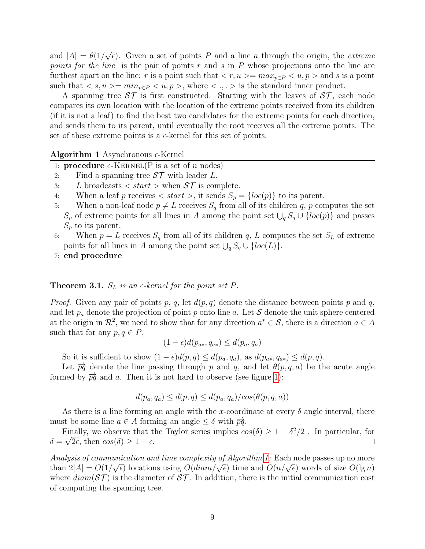and  $|A| = \theta(1/$ √  $\overline{\epsilon}$ ). Given a set of points P and a line a through the origin, the *extreme* points for the line is the pair of points  $r$  and  $s$  in  $P$  whose projections onto the line are furthest apart on the line: r is a point such that  $\langle r, u \rangle = max_{p \in P} \langle u, p \rangle$  and s is a point such that  $\langle s, u \rangle = \min_{p \in P} \langle u, p \rangle$ , where  $\langle \cdot, \cdot \rangle$  is the standard inner product.

A spanning tree  $\mathcal{ST}$  is first constructed. Starting with the leaves of  $\mathcal{ST}$ , each node compares its own location with the location of the extreme points received from its children (if it is not a leaf) to find the best two candidates for the extreme points for each direction, and sends them to its parent, until eventually the root receives all the extreme points. The set of these extreme points is a  $\epsilon$ -kernel for this set of points.

<span id="page-8-0"></span>

| Algorithm 1 Asynchronous $\epsilon$ -Kernel |  |
|---------------------------------------------|--|
|---------------------------------------------|--|

1: **procedure**  $\epsilon$ -KERNEL(P is a set of n nodes)

- 2: Find a spanning tree  $ST$  with leader L.
- 3: L broadcasts  $\langle$  start  $\rangle$  when  $S\mathcal{T}$  is complete.
- 4: When a leaf p receives  $\langle \text{start} \rangle$ , it sends  $S_p = \{ \text{loc}(p) \}$  to its parent.
- 5: When a non-leaf node  $p \neq L$  receives  $S_q$  from all of its children q, p computes the set  $S_p$  of extreme points for all lines in A among the point set  $\bigcup_q S_q \cup \{loc(p)\}\$  and passes  $S_p$  to its parent.
- 6: When  $p = L$  receives  $S_q$  from all of its children q, L computes the set  $S_L$  of extreme points for all lines in A among the point set  $\bigcup_q S_q \cup \{loc(L)\}.$
- 7: end procedure

#### **Theorem 3.1.**  $S_L$  is an  $\epsilon$ -kernel for the point set P.

*Proof.* Given any pair of points p, q, let  $d(p,q)$  denote the distance between points p and q, and let  $p_a$  denote the projection of point p onto line a. Let S denote the unit sphere centered at the origin in  $\mathcal{R}^2$ , we need to show that for any direction  $a^* \in \mathcal{S}$ , there is a direction  $a \in A$ such that for any  $p, q \in P$ ,

$$
(1 - \epsilon)d(p_{a*}, q_{a*}) \leq d(p_a, q_a)
$$

So it is sufficient to show  $(1 - \epsilon)d(p, q) \leq d(p_a, q_a)$ , as  $d(p_{a*}, q_{a*}) \leq d(p, q)$ .

Let  $\overrightarrow{pq}$  denote the line passing through p and q, and let  $\theta(p,q,a)$  be the acute angle formed by  $\overrightarrow{pq}$  and a. Then it is not hard to observe (see figure [1\)](#page-9-0):

$$
d(p_a, q_a) \le d(p, q) \le d(p_a, q_a) / cos(\theta(p, q, a))
$$

As there is a line forming an angle with the x-coordinate at every  $\delta$  angle interval, there must be some line  $a \in A$  forming an angle  $\leq \delta$  with  $\overrightarrow{pq}$ .

Finally, we observe that the Taylor series implies  $cos(\delta) \geq 1 - \delta^2/2$ . In particular, for  $\delta = \sqrt{2\epsilon}$ , then  $\cos(\delta) \geq 1 - \epsilon$ .  $\Box$ 

Analysis of communication and time complexity of Algorithm [1:](#page-8-0) Each node passes up no more Analysis of communication and time complexity of Algorithm 1. Each hode passes up no more<br>than  $2|A| = O(1/\sqrt{\epsilon})$  locations using  $O(diam/\sqrt{\epsilon})$  time and  $O(n/\sqrt{\epsilon})$  words of size  $O(\lg n)$ where  $diam(\mathcal{ST})$  is the diameter of  $\mathcal{ST}$ . In addition, there is the initial communication cost of computing the spanning tree.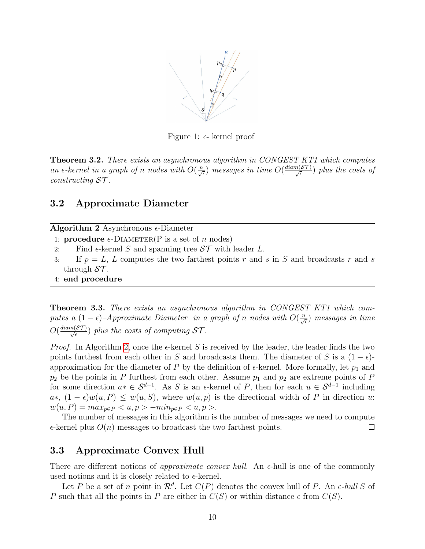

<span id="page-9-0"></span>Figure 1:  $\epsilon$ - kernel proof

**Theorem 3.2.** There exists an asynchronous algorithm in CONGEST KT1 which computes an  $\epsilon$ -kernel in a graph of n nodes with  $O(\frac{n}{\sqrt{\epsilon}})$  messages in time  $O(\frac{diam(\mathcal{ST})}{\sqrt{\epsilon}})$  plus the costs of  $constructing ST$ .

## 3.2 Approximate Diameter

<span id="page-9-1"></span>

|  | Algorithm 2 Asynchronous $\epsilon$ -Diameter |  |  |  |
|--|-----------------------------------------------|--|--|--|
|  | $D_{-}$ $   \sqrt{D}$ $\cdot$                 |  |  |  |

- 1: **procedure**  $\epsilon$ -DIAMETER(P is a set of n nodes)
- 2: Find  $\epsilon$ -kernel S and spanning tree  $ST$  with leader L.
- 3: If  $p = L$ , L computes the two farthest points r and s in S and broadcasts r and s through  $ST$ .
- 4: end procedure

Theorem 3.3. There exists an asynchronous algorithm in CONGEST KT1 which computes a  $(1 - \epsilon)$ -Approximate Diameter in a graph of n nodes with  $O(\frac{n}{\sqrt{\epsilon}})$  messages in time  $O(\frac{diam(\mathcal{ST})}{\sqrt{\epsilon}})$  plus the costs of computing  $\mathcal{ST}$ .

*Proof.* In Algorithm [2,](#page-9-1) once the  $\epsilon$ -kernel S is received by the leader, the leader finds the two points furthest from each other in S and broadcasts them. The diameter of S is a  $(1 - \epsilon)$ approximation for the diameter of P by the definition of  $\epsilon$ -kernel. More formally, let  $p_1$  and  $p_2$  be the points in P furthest from each other. Assume  $p_1$  and  $p_2$  are extreme points of P for some direction  $a^* \in S^{d-1}$ . As S is an  $\epsilon$ -kernel of P, then for each  $u \in S^{d-1}$  including  $a*, (1-\epsilon)w(u, P) \leq w(u, S)$ , where  $w(u, p)$  is the directional width of P in direction u:  $w(u, P) = max_{p \in P} < u, p > -min_{p \in P} < u, p >$ .

The number of messages in this algorithm is the number of messages we need to compute  $\epsilon$ -kernel plus  $O(n)$  messages to broadcast the two farthest points.  $\Box$ 

## 3.3 Approximate Convex Hull

There are different notions of *approximate convex hull*. An  $\epsilon$ -hull is one of the commonly used notions and it is closely related to  $\epsilon$ -kernel.

Let P be a set of n point in  $\mathcal{R}^d$ . Let  $C(P)$  denotes the convex hull of P. An  $\epsilon$ -hull S of P such that all the points in P are either in  $C(S)$  or within distance  $\epsilon$  from  $C(S)$ .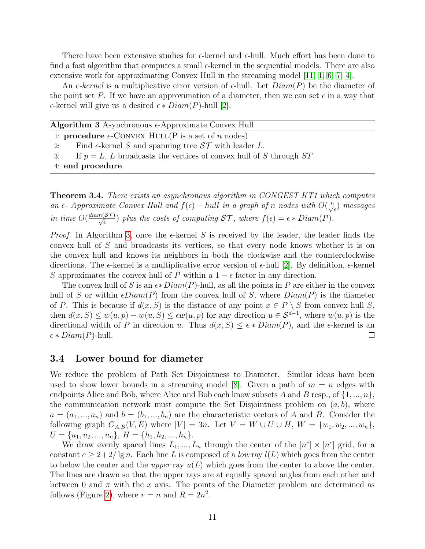There have been extensive studies for  $\epsilon$ -kernel and  $\epsilon$ -hull. Much effort has been done to find a fast algorithm that computes a small  $\epsilon$ -kernel in the sequential models. There are also extensive work for approximating Convex Hull in the streaming model [\[11,](#page-20-11) [1,](#page-19-1) [6,](#page-20-12) [7,](#page-20-13) [4\]](#page-19-4).

An  $\epsilon$ -kernel is a multiplicative error version of  $\epsilon$ -hull. Let  $Diam(P)$  be the diameter of the point set P. If we have an approximation of a diameter, then we can set  $\epsilon$  in a way that  $\epsilon$ -kernel will give us a desired  $\epsilon * Diam(P)$ -hull [\[2\]](#page-19-2).

<span id="page-10-0"></span>

|  | Algorithm 3 Asynchronous $\epsilon$ -Approximate Convex Hull |  |
|--|--------------------------------------------------------------|--|
|  |                                                              |  |

- 1: **procedure**  $\epsilon$ -CONVEX HULL(P is a set of n nodes)
- 2: Find  $\epsilon$ -kernel S and spanning tree  $ST$  with leader L.
- 3: If  $p = L$ , L broadcasts the vertices of convex hull of S through ST.
- 4: end procedure

Theorem 3.4. There exists an asynchronous algorithm in CONGEST KT1 which computes an  $\epsilon$ - Approximate Convex Hull and  $f(\epsilon)$  – hull in a graph of n nodes with  $O(\frac{n}{\sqrt{\epsilon}})$  messages in time  $O(\frac{diam(\mathcal{ST})}{\sqrt{\epsilon}})$  plus the costs of computing  $\mathcal{ST}$ , where  $f(\epsilon) = \epsilon * Diam(P)$ .

*Proof.* In Algorithm [3,](#page-10-0) once the  $\epsilon$ -kernel S is received by the leader, the leader finds the convex hull of S and broadcasts its vertices, so that every node knows whether it is on the convex hull and knows its neighbors in both the clockwise and the counterclockwise directions. The  $\epsilon$ -kernel is a multiplicative error version of  $\epsilon$ -hull [\[2\]](#page-19-2). By definition,  $\epsilon$ -kernel S approximates the convex hull of P within a  $1 - \epsilon$  factor in any direction.

The convex hull of S is an  $\epsilon *Diam(P)$ -hull, as all the points in P are either in the convex hull of S or within  $\epsilon$ Diam(P) from the convex hull of S, where  $Diam(P)$  is the diameter of P. This is because if  $d(x, S)$  is the distance of any point  $x \in P \setminus S$  from convex hull S, then  $d(x, S) \leq w(u, p) - w(u, S) \leq \epsilon w(u, p)$  for any direction  $u \in S^{d-1}$ , where  $w(u, p)$  is the directional width of P in direction u. Thus  $d(x, S) \leq \epsilon * Diam(P)$ , and the  $\epsilon$ -kernel is an  $\epsilon * Diam(P)$ -hull.  $\Box$ 

#### <span id="page-10-1"></span>3.4 Lower bound for diameter

We reduce the problem of Path Set Disjointness to Diameter. Similar ideas have been used to show lower bounds in a streaming model [\[8\]](#page-20-14). Given a path of  $m = n$  edges with endpoints Alice and Bob, where Alice and Bob each know subsets A and B resp., of  $\{1, ..., n\}$ , the communication network must compute the Set Disjointness problem on  $(a, b)$ , where  $a = (a_1, ..., a_n)$  and  $b = (b_1, ..., b_n)$  are the characteristic vectors of A and B. Consider the following graph  $G_{A,B}(V, E)$  where  $|V| = 3n$ . Let  $V = W \cup U \cup H$ ,  $W = \{w_1, w_2, ..., w_n\}$ ,  $U = \{u_1, u_2, ..., u_n\}, H = \{h_1, h_2, ..., h_n\}.$ 

We draw evenly spaced lines  $L_1, ..., L_n$  through the center of the  $[n^c] \times [n^c]$  grid, for a constant  $c \geq 2+2/\lg n$ . Each line L is composed of a low ray  $l(L)$  which goes from the center to below the center and the *upper* ray  $u(L)$  which goes from the center to above the center. The lines are drawn so that the upper rays are at equally spaced angles from each other and between 0 and  $\pi$  with the x axis. The points of the Diameter problem are determined as follows (Figure [2\)](#page-11-0), where  $r = n$  and  $R = 2n^2$ .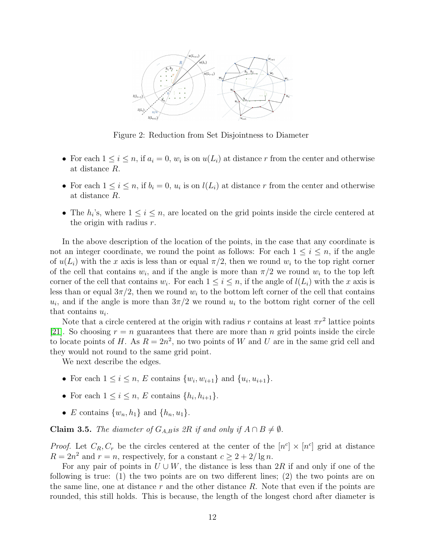

<span id="page-11-0"></span>Figure 2: Reduction from Set Disjointness to Diameter

- For each  $1 \leq i \leq n$ , if  $a_i = 0$ ,  $w_i$  is on  $u(L_i)$  at distance r from the center and otherwise at distance R.
- For each  $1 \leq i \leq n$ , if  $b_i = 0$ ,  $u_i$  is on  $l(L_i)$  at distance r from the center and otherwise at distance R.
- The  $h_i$ 's, where  $1 \leq i \leq n$ , are located on the grid points inside the circle centered at the origin with radius  $r$ .

In the above description of the location of the points, in the case that any coordinate is not an integer coordinate, we round the point as follows: For each  $1 \leq i \leq n$ , if the angle of  $u(L_i)$  with the x axis is less than or equal  $\pi/2$ , then we round  $w_i$  to the top right corner of the cell that contains  $w_i$ , and if the angle is more than  $\pi/2$  we round  $w_i$  to the top left corner of the cell that contains  $w_i$ . For each  $1 \leq i \leq n$ , if the angle of  $l(L_i)$  with the x axis is less than or equal  $3\pi/2$ , then we round  $w_i$  to the bottom left corner of the cell that contains  $u_i$ , and if the angle is more than  $3\pi/2$  we round  $u_i$  to the bottom right corner of the cell that contains  $u_i$ .

Note that a circle centered at the origin with radius r contains at least  $\pi r^2$  lattice points [\[21\]](#page-20-15). So choosing  $r = n$  guarantees that there are more than n grid points inside the circle to locate points of H. As  $R = 2n^2$ , no two points of W and U are in the same grid cell and they would not round to the same grid point.

We next describe the edges.

- For each  $1 \le i \le n$ , E contains  $\{w_i, w_{i+1}\}\$  and  $\{u_i, u_{i+1}\}.$
- For each  $1 \leq i \leq n$ , E contains  $\{h_i, h_{i+1}\}.$
- E contains  $\{w_n, h_1\}$  and  $\{h_n, u_1\}$ .

**Claim 3.5.** The diameter of  $G_{A,B}$  is 2R if and only if  $A \cap B \neq \emptyset$ .

*Proof.* Let  $C_R, C_r$  be the circles centered at the center of the  $[n^c] \times [n^c]$  grid at distance  $R = 2n^2$  and  $r = n$ , respectively, for a constant  $c \geq 2 + 2/\lg n$ .

For any pair of points in  $U \cup W$ , the distance is less than 2R if and only if one of the following is true: (1) the two points are on two different lines; (2) the two points are on the same line, one at distance  $r$  and the other distance  $R$ . Note that even if the points are rounded, this still holds. This is because, the length of the longest chord after diameter is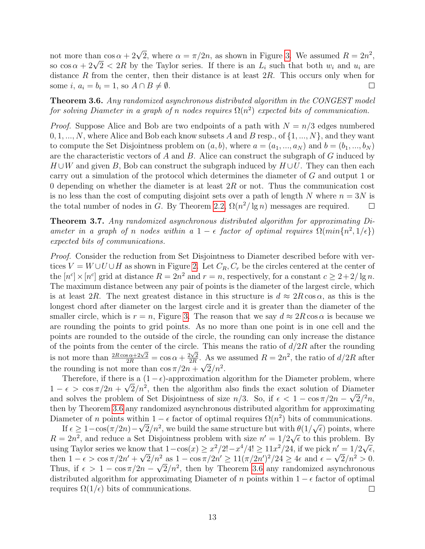not more than  $\cos \alpha + 2\sqrt{2}$ , where  $\alpha = \pi/2n$ , as shown in Figure [3.](#page-13-0) We assumed  $R = 2n^2$ , not more than  $\cos \alpha + 2\sqrt{2}$ , where  $\alpha = \pi/2n$ , as shown in Figure 3. We assumed  $R = 2n^2$ ,<br>so  $\cos \alpha + 2\sqrt{2} < 2R$  by the Taylor series. If there is an  $L_i$  such that both  $w_i$  and  $u_i$  are distance  $R$  from the center, then their distance is at least  $2R$ . This occurs only when for some  $i, a_i = b_i = 1$ , so  $A \cap B \neq \emptyset$ .  $\Box$ 

<span id="page-12-0"></span>Theorem 3.6. Any randomized asynchronous distributed algorithm in the CONGEST model for solving Diameter in a graph of n nodes requires  $\Omega(n^2)$  expected bits of communication.

*Proof.* Suppose Alice and Bob are two endpoints of a path with  $N = n/3$  edges numbered  $0, 1, ..., N$ , where Alice and Bob each know subsets A and B resp., of  $\{1, ..., N\}$ , and they want to compute the Set Disjointness problem on  $(a, b)$ , where  $a = (a_1, ..., a_N)$  and  $b = (b_1, ..., b_N)$ are the characteristic vectors of  $A$  and  $B$ . Alice can construct the subgraph of  $G$  induced by  $H \cup W$  and given B, Bob can construct the subgraph induced by  $H \cup U$ . They can then each carry out a simulation of the protocol which determines the diameter of G and output 1 or 0 depending on whether the diameter is at least  $2R$  or not. Thus the communication cost is no less than the cost of computing disjoint sets over a path of length N where  $n = 3N$  is the total number of nodes in G. By Theorem [2.2,](#page-5-0)  $\Omega(n^2/\lg n)$  messages are required.  $\Box$ 

Theorem 3.7. Any randomized asynchronous distributed algorithm for approximating Diameter in a graph of n nodes within a  $1 - \epsilon$  factor of optimal requires  $\Omega(min\{n^2, 1/\epsilon\})$ expected bits of communications.

Proof. Consider the reduction from Set Disjointness to Diameter described before with vertices  $V = W \cup U \cup H$  as shown in Figure [2.](#page-11-0) Let  $C_R$ ,  $C_r$  be the circles centered at the center of the  $[n<sup>c</sup>] \times [n<sup>c</sup>]$  grid at distance  $R = 2n<sup>2</sup>$  and  $r = n$ , respectively, for a constant  $c \geq 2 + 2/\lg n$ . The maximum distance between any pair of points is the diameter of the largest circle, which is at least 2R. The next greatest distance in this structure is  $d \approx 2R \cos \alpha$ , as this is the longest chord after diameter on the largest circle and it is greater than the diameter of the smaller circle, which is  $r = n$ , Figure [3.](#page-13-0) The reason that we say  $d \approx 2R \cos \alpha$  is because we are rounding the points to grid points. As no more than one point is in one cell and the points are rounded to the outside of the circle, the rounding can only increase the distance of the points from the center of the circle. This means the ratio of  $d/2R$  after the rounding is not more than  $\frac{2R\cos\alpha+2\sqrt{2}}{2R} = \cos\alpha + \frac{2\sqrt{2}}{2R}$  $\frac{2\sqrt{2}}{2R}$ . As we assumed  $R = 2n^2$ , the ratio of  $d/2R$  after the rounding is not more than  $\cos \pi/2n + \sqrt{2}/n^2$ .

Therefore, if there is a  $(1 - \epsilon)$ -approximation algorithm for the Diameter problem, where  $1 - \epsilon > \cos \pi/2n + \sqrt{2}/n^2$ , then the algorithm also finds the exact solution of Diameter and solves the problem of Set Disjointness of size  $n/3$ . So, if  $\epsilon < 1 - \cos \pi/2n - \sqrt{2}/^2n$ , then by Theorem [3.6](#page-12-0) any randomized asynchronous distributed algorithm for approximating Diameter of n points within  $1 - \epsilon$  factor of optimal requires  $\Omega(n^2)$  bits of communications.  $\frac{c}{\sqrt{2}}$ 

If  $\epsilon \geq 1 - \cos(\pi/2n) - \sqrt{2}/n^2$ , we build the same structure but with  $\theta(1/2n)$  $h \theta(1/\sqrt{\epsilon})$  points, where  $R = 2n^2$ , and reduce a Set Disjointness problem with size  $n' = 1/2\sqrt{\epsilon}$  to this problem. By  $u = 2u$ , and reduce a set Disjoinness problem with size  $u = 1/2\sqrt{\epsilon}$  to this problem. Example 1. Example 1. Example 1. Example 1. Example 1. Example 1. Example 1. Example 1. Example 1. Example 1. Example 1. Example 1. Ex we that  $1 - \cos(x) \geq x^2/2! - x^4/4! \geq 11x^2/24$ , if we pick  $n' = 1/2\sqrt{\epsilon}$ , then  $1 - \epsilon > \cos \pi / 2n' + \sqrt{2}/n^2$  as  $1 - \cos \pi / 2n' \ge 11 (\pi / 2n')^2 / 24 \ge 4\epsilon$  and  $\epsilon - \sqrt{2}/n^2 > 0$ . Thus, if  $\epsilon > 1 - \cos(\pi/2)n - \sqrt{2}/n^2$ , then by Theorem [3.6](#page-12-0) any randomized asynchronous distributed algorithm for approximating Diameter of n points within  $1 - \epsilon$  factor of optimal requires  $\Omega(1/\epsilon)$  bits of communications.  $\Box$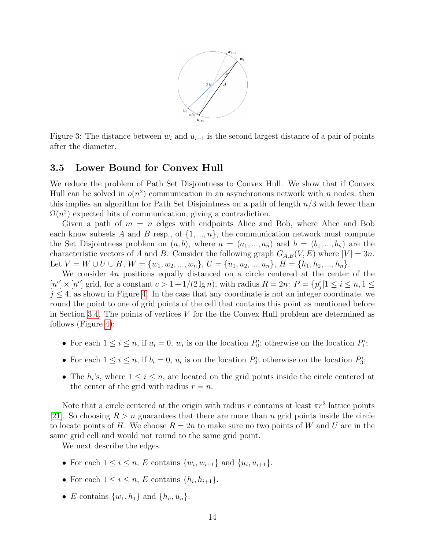

<span id="page-13-0"></span>Figure 3: The distance between  $w_i$  and  $u_{i+1}$  is the second largest distance of a pair of points after the diameter.

#### 3.5 Lower Bound for Convex Hull

We reduce the problem of Path Set Disjointness to Convex Hull. We show that if Convex Hull can be solved in  $o(n^2)$  communication in an asynchronous network with n nodes, then this implies an algorithm for Path Set Disjointness on a path of length  $n/3$  with fewer than  $\Omega(n^2)$  expected bits of communication, giving a contradiction.

Given a path of  $m = n$  edges with endpoints Alice and Bob, where Alice and Bob each know subsets A and B resp., of  $\{1, ..., n\}$ , the communication network must compute the Set Disjointness problem on  $(a, b)$ , where  $a = (a_1, ..., a_n)$  and  $b = (b_1, ..., b_n)$  are the characteristic vectors of A and B. Consider the following graph  $G_{A,B}(V, E)$  where  $|V| = 3n$ . Let  $V = W \cup U \cup H$ ,  $W = \{w_1, w_2, ..., w_n\}$ ,  $U = \{u_1, u_2, ..., u_n\}$ ,  $H = \{h_1, h_2, ..., h_n\}$ .

We consider  $4n$  positions equally distanced on a circle centered at the center of the  $[n<sup>c</sup>] \times [n<sup>c</sup>]$  grid, for a constant  $c > 1 + 1/(2 \lg n)$ , with radius  $R = 2n$ :  $P = \{p_j^i | 1 \le i \le n, 1 \le n\}$  $j \leq 4$ , as shown in Figure [4.](#page-14-0) In the case that any coordinate is not an integer coordinate, we round the point to one of grid points of the cell that contains this point as mentioned before in Section [3.4.](#page-10-1) The points of vertices  $V$  for the the Convex Hull problem are determined as follows (Figure [4\)](#page-14-0):

- For each  $1 \leq i \leq n$ , if  $a_i = 0$ ,  $w_i$  is on the location  $P_0^i$ ; otherwise on the location  $P_1^i$ ;
- For each  $1 \leq i \leq n$ , if  $b_i = 0$ ,  $u_i$  is on the location  $P_2^i$ ; otherwise on the location  $P_3^i$ ;
- The  $h_i$ 's, where  $1 \leq i \leq n$ , are located on the grid points inside the circle centered at the center of the grid with radius  $r = n$ .

Note that a circle centered at the origin with radius r contains at least  $\pi r^2$  lattice points [\[21\]](#page-20-15). So choosing  $R > n$  guarantees that there are more than n grid points inside the circle to locate points of H. We choose  $R = 2n$  to make sure no two points of W and U are in the same grid cell and would not round to the same grid point.

We next describe the edges.

- For each  $1 \le i \le n$ , E contains  $\{w_i, w_{i+1}\}\$  and  $\{u_i, u_{i+1}\}.$
- For each  $1 \leq i \leq n$ , E contains  $\{h_i, h_{i+1}\}.$
- E contains  $\{w_1, h_1\}$  and  $\{h_n, u_n\}$ .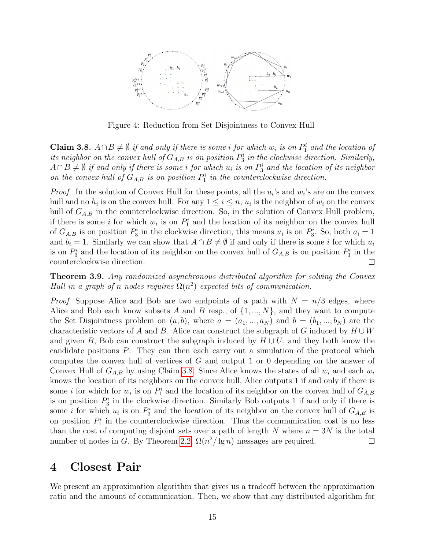

<span id="page-14-0"></span>Figure 4: Reduction from Set Disjointness to Convex Hull

<span id="page-14-1"></span>Claim 3.8.  $A ∩ B ≠ ∅ if and only if there is some i for which w<sub>i</sub> is on P<sub>1</sub><sup>i</sup> and the location of$ its neighbor on the convex hull of  $G_{A,B}$  is on position  $P_3^i$  in the clockwise direction. Similarly,  $A\cap B\neq\emptyset$  if and only if there is some i for which  $u_i$  is on  $P_3^i$  and the location of its neighbor on the convex hull of  $G_{A,B}$  is on position  $P_1^i$  in the counterclockwise direction.

*Proof.* In the solution of Convex Hull for these points, all the  $u_i$ 's and  $w_i$ 's are on the convex hull and no  $h_i$  is on the convex hull. For any  $1 \leq i \leq n$ ,  $u_i$  is the neighbor of  $w_i$  on the convex hull of  $G_{A,B}$  in the counterclockwise direction. So, in the solution of Convex Hull problem, if there is some *i* for which  $w_i$  is on  $P_1^i$  and the location of its neighbor on the convex hull of  $G_{A,B}$  is on position  $P_3^i$  in the clockwise direction, this means  $u_i$  is on  $P_3^i$ . So, both  $a_i = 1$ and  $b_i = 1$ . Similarly we can show that  $A \cap B \neq \emptyset$  if and only if there is some i for which  $u_i$ is on  $P_3^i$  and the location of its neighbor on the convex hull of  $G_{A,B}$  is on position  $P_1^i$  in the counterclockwise direction.  $\Box$ 

Theorem 3.9. Any randomized asynchronous distributed algorithm for solving the Convex Hull in a graph of n nodes requires  $\Omega(n^2)$  expected bits of communication.

*Proof.* Suppose Alice and Bob are two endpoints of a path with  $N = n/3$  edges, where Alice and Bob each know subsets A and B resp., of  $\{1, ..., N\}$ , and they want to compute the Set Disjointness problem on  $(a, b)$ , where  $a = (a_1, ..., a_N)$  and  $b = (b_1, ..., b_N)$  are the characteristic vectors of A and B. Alice can construct the subgraph of G induced by  $H \cup W$ and given B, Bob can construct the subgraph induced by  $H \cup U$ , and they both know the candidate positions P. They can then each carry out a simulation of the protocol which computes the convex hull of vertices of G and output 1 or 0 depending on the answer of Convex Hull of  $G_{A,B}$  by using Claim [3.8.](#page-14-1) Since Alice knows the states of all  $w_i$  and each  $w_i$ knows the location of its neighbors on the convex hull, Alice outputs 1 if and only if there is some *i* for which for  $w_i$  is on  $P_1^i$  and the location of its neighbor on the convex hull of  $G_{A,B}$ is on position  $P_3^i$  in the clockwise direction. Similarly Bob outputs 1 if and only if there is some *i* for which  $u_i$  is on  $P_3^i$  and the location of its neighbor on the convex hull of  $G_{A,B}$  is on position  $P_1^i$  in the counterclockwise direction. Thus the communication cost is no less than the cost of computing disjoint sets over a path of length N where  $n = 3N$  is the total number of nodes in G. By Theorem [2.2,](#page-5-0)  $\Omega(n^2/\lg n)$  messages are required.  $\Box$ 

# 4 Closest Pair

We present an approximation algorithm that gives us a tradeoff between the approximation ratio and the amount of communication. Then, we show that any distributed algorithm for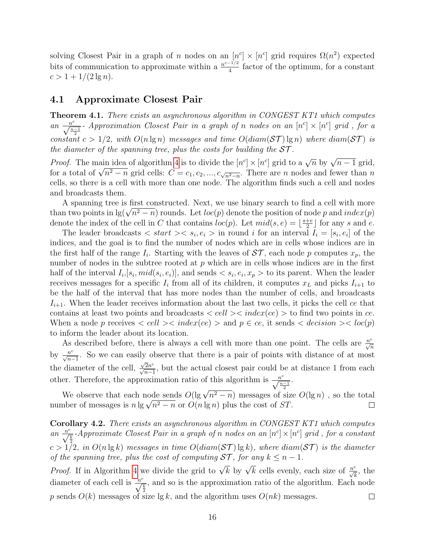solving Closest Pair in a graph of n nodes on an  $[n<sup>c</sup>] \times [n<sup>c</sup>]$  grid requires  $\Omega(n<sup>2</sup>)$  expected bits of communication to approximate within a  $\frac{n^{c-1/2}}{4}$  $\frac{f^{1/2}}{4}$  factor of the optimum, for a constant  $c > 1 + 1/(2 \lg n).$ 

### 4.1 Approximate Closest Pair

Theorem 4.1. There exists an asynchronous algorithm in CONGEST KT1 which computes an  $\frac{n^c}{\sqrt{n-1}}$ - Approximation Closest Pair in a graph of n nodes on an  $[n^c] \times [n^c]$  grid, for a constant  $c > 1/2$ , with  $O(n \lg n)$  messages and time  $O(diam(\mathcal{ST}) \lg n)$  where  $diam(\mathcal{ST})$  is the diameter of the spanning tree, plus the costs for building the  $ST$ .

*Proof.* The main idea of algorithm [4](#page-16-0) is to divide the  $[n<sup>c</sup>] \times [n<sup>c</sup>]$  grid to a  $\sqrt{n}$  by  $\sqrt{n-1}$  grid, *Froof.* The main idea of algorithm 4 is to divide the  $[n^2] \times [n^2]$  grid to a  $\sqrt{n}$  by  $\sqrt{n-1}$  grid, for a total of  $\sqrt{n^2-n}$  grid cells:  $C = c_1, c_2, ..., c_{\sqrt{n^2-n}}$ . There are *n* nodes and fewer than *n* cells, so there is a cell with more than one node. The algorithm finds such a cell and nodes and broadcasts them.

A spanning tree is first constructed. Next, we use binary search to find a cell with more A spanning tree is first constructed. Next, we use binary search to find a cell with more<br>than two points in  $\lg(\sqrt{n^2 - n})$  rounds. Let  $loc(p)$  denote the position of node p and  $index(p)$ denote the index of the cell in C that contains  $loc(p)$ . Let  $mid(s, e) = \frac{s+e}{2}$  $\frac{+e}{2}$  for any s and e.

The leader broadcasts  $\langle start \rangle \langle s_i, e_i \rangle$  in round i for an interval  $I_i = [s_i, e_i]$  of the indices, and the goal is to find the number of nodes which are in cells whose indices are in the first half of the range  $I_i$ . Starting with the leaves of  $ST$ , each node p computes  $x_p$ , the number of nodes in the subtree rooted at  $p$  which are in cells whose indices are in the first half of the interval  $I_i$ ,  $[s_i, mid(s_i, e_i)]$ , and sends  $\langle s_i, e_i, x_p \rangle$  to its parent. When the leader receives messages for a specific  $I_i$  from all of its children, it computes  $x_L$  and picks  $I_{i+1}$  to be the half of the interval that has more nodes than the number of cells, and broadcasts  $I_{i+1}$ . When the leader receives information about the last two cells, it picks the cell ce that contains at least two points and broadcasts  $\langle cell \rangle \langle index$  (ce)  $\rangle$  to find two points in ce. When a node p receives  $\langle$  cell  $\rangle$  $\langle$  index(ce)  $\rangle$  and  $p \in ce$ , it sends  $\langle$  decision  $\rangle$  $\langle$  loc(p) to inform the leader about its location.

As described before, there is always a cell with more than one point. The cells are  $\frac{n^c}{\sqrt{n}}$ by  $\frac{n^c}{\sqrt{n-1}}$ . So we can easily observe that there is a pair of points with distance of at most the diameter of the cell,  $\frac{\sqrt{2}n^c}{\sqrt{n-1}}$ , but the actual closest pair could be at distance 1 from each other. Therefore, the approximation ratio of this algorithm is  $\frac{n^c}{\sqrt{\frac{n-1}{2}}}$ .

We observe that each node sends  $O(\lg \sqrt{n^2 - n})$  messages of size  $O(\lg n)$ , so the total we observe that each node sends  $O(\lg \sqrt{n^2 - n})$  messages of size<br>number of messages is  $n \lg \sqrt{n^2 - n}$  or  $O(n \lg n)$  plus the cost of ST.  $\Box$ 

Corollary 4.2. There exists an asynchronous algorithm in CONGEST KT1 which computes an  $\frac{n^c}{\sqrt{\frac{k}{2}}}$ -Approximate Closest Pair in a graph of n nodes on an  $[n<sup>c</sup>] \times [n<sup>c</sup>]$  grid, for a constant  $c > 1/2$ , in  $O(n \lg k)$  messages in time  $O(diam(\mathcal{ST}) \lg k)$ , where  $diam(\mathcal{ST})$  is the diameter of the spanning tree, plus the cost of computing  $ST$ , for any  $k \leq n - 1$ . *Proof.* If in Algorithm [4](#page-16-0) we divide the grid to  $\sqrt{k}$  by  $\sqrt{k}$  cells evenly, each size of  $\frac{n^c}{\sqrt{k}}$ , the

diameter of each cell is  $\frac{n^c}{\sqrt{\frac{k}{2}}}$ , and so is the approximation ratio of the algorithm. Each node p sends  $O(k)$  messages of size lg k, and the algorithm uses  $O(nk)$  messages.  $\Box$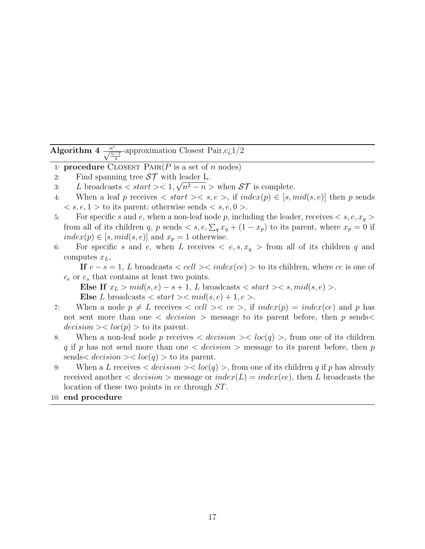<span id="page-16-0"></span>Algorithm 4  $\frac{n^{c}}{\sqrt{\frac{n-1}{2}}}$ -approximation Closest Pair,c¿1/2

- 1: **procedure** CLOSEST  $\text{PAR}(P \text{ is a set of } n \text{ nodes})$
- 2: Find spanning tree  $ST$  with leader L.
- 3: L broadcasts  $\langle \text{start} \rangle < 1, \sqrt{n^2 n} > \text{when } \mathcal{ST}$  is complete.
- 4: When a leaf p receives  $\langle$  start  $\rangle$   $\langle$  s,  $e \rangle$ , if  $index(p) \in [s, mid(s, e)]$  then p sends  $\langle s, e, 1 \rangle$  to its parent; otherwise sends  $\langle s, e, 0 \rangle$ .
- 5: For specific s and e, when a non-leaf node p, including the leader, receives  $\langle s, e, x_q \rangle$ from all of its children q, p sends  $\langle s, e, \sum_q x_q + (1 - x_p)$  to its parent, where  $x_p = 0$  if  $index(p) \in [s, mid(s, e)]$  and  $x_p = 1$  otherwise.
- 6: For specific s and e, when L receives  $\langle e, s, x_q \rangle$  from all of its children q and computes  $x_L$ ,

If  $e - s = 1$ , L broadcasts  $\langle cell \rangle \langle index$  (ce)  $\rangle$  to its children, where ce is one of  $c_e$  or  $c_s$  that contains at least two points.

Else If  $x_L > mid(s, e) - s + 1$ , L broadcasts  $\langle start \rangle \langle s, mid(s, e) \rangle$ . Else L broadcasts  $\langle start \rangle \langle mid(s, e) + 1, e \rangle$ .

- 7: When a node  $p \neq L$  receives  $\langle$  cell  $\rangle \langle$  ce  $\rangle$ , if  $index(p) = index(ce)$  and p has not sent more than one  $\langle decision \rangle$  message to its parent before, then p sends  $decision \gtlt loc(p) >$  to its parent.
- 8: When a non-leaf node p receives  $\langle decision \rangle \langle loc(q) \rangle$ , from one of its children q if p has not send more than one  $\langle$  decision  $\rangle$  message to its parent before, then p sends  $\langle decision \rangle$   $\langle loc(q) \rangle$  to its parent.
- 9: When a L receives  $\langle \text{decision} \rangle \langle \text{loc}(q) \rangle$ , from one of its children q if p has already received another  $\langle decision \rangle$  message or  $index(L) = index(ce)$ , then L broadcasts the location of these two points in ce through ST.
- 10: end procedure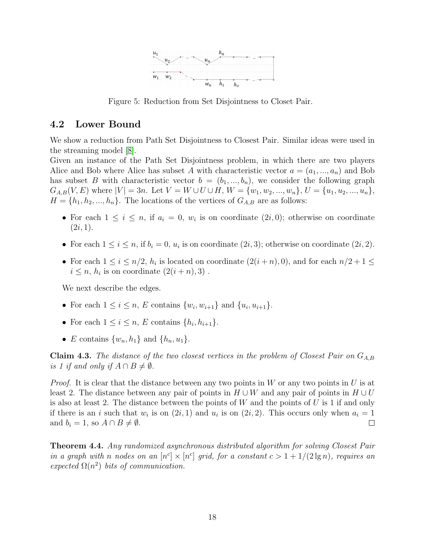

<span id="page-17-0"></span>Figure 5: Reduction from Set Disjointness to Closet Pair.

## 4.2 Lower Bound

We show a reduction from Path Set Disjointness to Closest Pair. Similar ideas were used in the streaming model [\[8\]](#page-20-14).

Given an instance of the Path Set Disjointness problem, in which there are two players Alice and Bob where Alice has subset A with characteristic vector  $a = (a_1, ..., a_n)$  and Bob has subset B with characteristic vector  $b = (b_1, ..., b_n)$ , we consider the following graph  $G_{A,B}(V, E)$  where  $|V| = 3n$ . Let  $V = W \cup U \cup H$ ,  $W = \{w_1, w_2, ..., w_n\}$ ,  $U = \{u_1, u_2, ..., u_n\}$ ,  $H = \{h_1, h_2, ..., h_n\}$ . The locations of the vertices of  $G_{A,B}$  are as follows:

- For each  $1 \leq i \leq n$ , if  $a_i = 0$ ,  $w_i$  is on coordinate  $(2i, 0)$ ; otherwise on coordinate  $(2i, 1).$
- For each  $1 \leq i \leq n$ , if  $b_i = 0$ ,  $u_i$  is on coordinate  $(2i, 3)$ ; otherwise on coordinate  $(2i, 2)$ .
- For each  $1 \le i \le n/2$ ,  $h_i$  is located on coordinate  $(2(i+n), 0)$ , and for each  $n/2 + 1 \le$  $i \leq n, h_i$  is on coordinate  $(2(i+n), 3)$ .

We next describe the edges.

- For each  $1 \le i \le n$ , E contains  $\{w_i, w_{i+1}\}\$  and  $\{u_i, u_{i+1}\}.$
- For each  $1 \leq i \leq n$ , E contains  $\{h_i, h_{i+1}\}.$
- E contains  $\{w_n, h_1\}$  and  $\{h_n, u_1\}$ .

**Claim 4.3.** The distance of the two closest vertices in the problem of Closest Pair on  $G_{A,B}$ is 1 if and only if  $A \cap B \neq \emptyset$ .

*Proof.* It is clear that the distance between any two points in W or any two points in U is at least 2. The distance between any pair of points in  $H \cup W$  and any pair of points in  $H \cup U$ is also at least 2. The distance between the points of  $W$  and the points of  $U$  is 1 if and only if there is an i such that  $w_i$  is on  $(2i, 1)$  and  $u_i$  is on  $(2i, 2)$ . This occurs only when  $a_i = 1$ and  $b_i = 1$ , so  $A \cap B \neq \emptyset$ .  $\Box$ 

Theorem 4.4. Any randomized asynchronous distributed algorithm for solving Closest Pair in a graph with n nodes on an  $[n<sup>c</sup>] \times [n<sup>c</sup>]$  grid, for a constant  $c > 1 + 1/(2 \lg n)$ , requires an expected  $\Omega(n^2)$  bits of communication.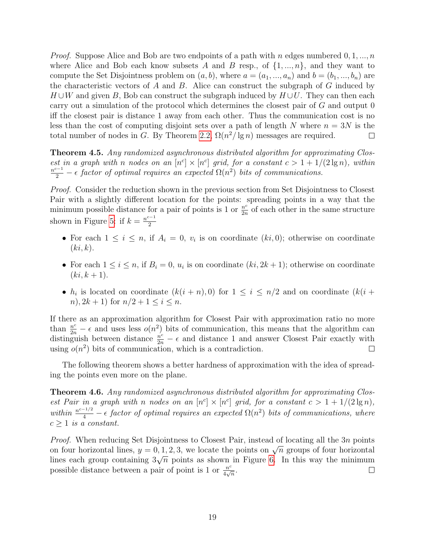*Proof.* Suppose Alice and Bob are two endpoints of a path with n edges numbered  $0, 1, ..., n$ where Alice and Bob each know subsets A and B resp., of  $\{1, ..., n\}$ , and they want to compute the Set Disjointness problem on  $(a, b)$ , where  $a = (a_1, ..., a_n)$  and  $b = (b_1, ..., b_n)$  are the characteristic vectors of  $A$  and  $B$ . Alice can construct the subgraph of  $G$  induced by  $H \cup W$  and given B, Bob can construct the subgraph induced by  $H \cup U$ . They can then each carry out a simulation of the protocol which determines the closest pair of G and output 0 iff the closest pair is distance 1 away from each other. Thus the communication cost is no less than the cost of computing disjoint sets over a path of length N where  $n = 3N$  is the total number of nodes in G. By Theorem [2.2,](#page-5-0)  $\Omega(n^2/\lg n)$  messages are required.  $\Box$ 

**Theorem 4.5.** Any randomized asynchronous distributed algorithm for approximating Closest in a graph with n nodes on an  $[n<sup>c</sup>] \times [n<sup>c</sup>]$  grid, for a constant  $c > 1 + 1/(2 \lg n)$ , within  $\frac{n^{c-1}}{2}$  –  $\epsilon$  factor of optimal requires an expected  $\Omega(n^2)$  bits of communications.

Proof. Consider the reduction shown in the previous section from Set Disjointness to Closest Pair with a slightly different location for the points: spreading points in a way that the minimum possible distance for a pair of points is 1 or  $\frac{n^c}{2n}$  $\frac{n^c}{2n}$  of each other in the same structure shown in Figure [5:](#page-17-0) if  $k = \frac{n^{c-1}}{2}$ 2

- For each  $1 \leq i \leq n$ , if  $A_i = 0$ ,  $v_i$  is on coordinate  $(ki, 0)$ ; otherwise on coordinate  $(ki, k).$
- For each  $1 \leq i \leq n$ , if  $B_i = 0$ ,  $u_i$  is on coordinate  $(ki, 2k+1)$ ; otherwise on coordinate  $(ki, k + 1).$
- $h_i$  is located on coordinate  $(k(i + n), 0)$  for  $1 \le i \le n/2$  and on coordinate  $(k(i + n))$ n),  $2k + 1$  for  $n/2 + 1 \leq i \leq n$ .

If there as an approximation algorithm for Closest Pair with approximation ratio no more than  $\frac{n^c}{2n} - \epsilon$  and uses less  $o(n^2)$  bits of communication, this means that the algorithm can distinguish between distance  $\frac{n^c}{2n} - \epsilon$  and distance 1 and answer Closest Pair exactly with using  $o(n^2)$  bits of communication, which is a contradiction.  $\Box$ 

The following theorem shows a better hardness of approximation with the idea of spreading the points even more on the plane.

Theorem 4.6. Any randomized asynchronous distributed algorithm for approximating Closest Pair in a graph with n nodes on an  $[n<sup>c</sup>] \times [n<sup>c</sup>]$  grid, for a constant  $c > 1 + 1/(2 \lg n)$ , within  $\frac{n^{c-1/2}}{4}$  –  $\epsilon$  factor of optimal requires an expected  $\Omega(n^2)$  bits of communications, where  $c \geq 1$  is a constant.

*Proof.* When reducing Set Disjointness to Closest Pair, instead of locating all the  $3n$  points *Froof.* When reducing Set Disjointness to Closest Fair, instead of locating an the *Sh* points on four horizontal lines,  $y = 0, 1, 2, 3$ , we locate the points on  $\sqrt{n}$  groups of four horizontal on four notizontal lines,  $y = 0, 1, 2, 3$ , we locate the points on  $\sqrt{n}$  groups of four notizontal lines each group containing  $3\sqrt{n}$  points as shown in Figure [6.](#page-19-5) In this way the minimum possible distance between a pair of point is 1 or  $\frac{n^c}{4\sqrt{n}}$  $\frac{n^c}{4\sqrt{n}}.$  $\Box$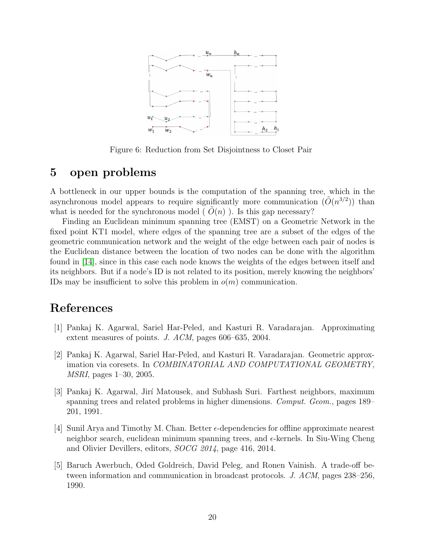

<span id="page-19-5"></span>Figure 6: Reduction from Set Disjointness to Closet Pair

## 5 open problems

A bottleneck in our upper bounds is the computation of the spanning tree, which in the asynchronous model appears to require significantly more communication  $(\tilde{O}(n^{3/2}))$  than what is needed for the synchronous model ( $O(n)$ ). Is this gap necessary?

Finding an Euclidean minimum spanning tree (EMST) on a Geometric Network in the fixed point KT1 model, where edges of the spanning tree are a subset of the edges of the geometric communication network and the weight of the edge between each pair of nodes is the Euclidean distance between the location of two nodes can be done with the algorithm found in [\[14\]](#page-20-5), since in this case each node knows the weights of the edges between itself and its neighbors. But if a node's ID is not related to its position, merely knowing the neighbors' IDs may be insufficient to solve this problem in  $o(m)$  communication.

## References

- <span id="page-19-1"></span>[1] Pankaj K. Agarwal, Sariel Har-Peled, and Kasturi R. Varadarajan. Approximating extent measures of points. J. ACM, pages 606–635, 2004.
- <span id="page-19-2"></span>[2] Pankaj K. Agarwal, Sariel Har-Peled, and Kasturi R. Varadarajan. Geometric approximation via coresets. In COMBINATORIAL AND COMPUTATIONAL GEOMETRY, MSRI, pages 1–30, 2005.
- <span id="page-19-3"></span>[3] Pankaj K. Agarwal, Jir´ı Matousek, and Subhash Suri. Farthest neighbors, maximum spanning trees and related problems in higher dimensions. Comput. Geom., pages 189– 201, 1991.
- <span id="page-19-4"></span>[4] Sunil Arya and Timothy M. Chan. Better  $\epsilon$ -dependencies for offline approximate nearest neighbor search, euclidean minimum spanning trees, and  $\epsilon$ -kernels. In Siu-Wing Cheng and Olivier Devillers, editors, SOCG 2014, page 416, 2014.
- <span id="page-19-0"></span>[5] Baruch Awerbuch, Oded Goldreich, David Peleg, and Ronen Vainish. A trade-off between information and communication in broadcast protocols. J. ACM, pages 238–256, 1990.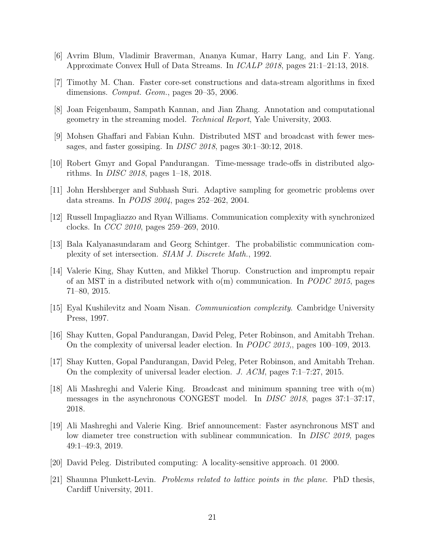- <span id="page-20-12"></span>[6] Avrim Blum, Vladimir Braverman, Ananya Kumar, Harry Lang, and Lin F. Yang. Approximate Convex Hull of Data Streams. In ICALP 2018, pages 21:1–21:13, 2018.
- <span id="page-20-13"></span>[7] Timothy M. Chan. Faster core-set constructions and data-stream algorithms in fixed dimensions. *Comput. Geom.*, pages 20–35, 2006.
- <span id="page-20-14"></span>[8] Joan Feigenbaum, Sampath Kannan, and Jian Zhang. Annotation and computational geometry in the streaming model. Technical Report, Yale University, 2003.
- <span id="page-20-6"></span>[9] Mohsen Ghaffari and Fabian Kuhn. Distributed MST and broadcast with fewer messages, and faster gossiping. In DISC 2018, pages 30:1–30:12, 2018.
- <span id="page-20-7"></span>[10] Robert Gmyr and Gopal Pandurangan. Time-message trade-offs in distributed algorithms. In DISC 2018, pages 1–18, 2018.
- <span id="page-20-11"></span>[11] John Hershberger and Subhash Suri. Adaptive sampling for geometric problems over data streams. In PODS 2004, pages 252–262, 2004.
- <span id="page-20-10"></span>[12] Russell Impagliazzo and Ryan Williams. Communication complexity with synchronized clocks. In CCC 2010, pages 259–269, 2010.
- <span id="page-20-1"></span>[13] Bala Kalyanasundaram and Georg Schintger. The probabilistic communication complexity of set intersection. SIAM J. Discrete Math., 1992.
- <span id="page-20-5"></span>[14] Valerie King, Shay Kutten, and Mikkel Thorup. Construction and impromptu repair of an MST in a distributed network with  $o(m)$  communication. In *PODC 2015*, pages 71–80, 2015.
- <span id="page-20-2"></span>[15] Eyal Kushilevitz and Noam Nisan. Communication complexity. Cambridge University Press, 1997.
- <span id="page-20-3"></span>[16] Shay Kutten, Gopal Pandurangan, David Peleg, Peter Robinson, and Amitabh Trehan. On the complexity of universal leader election. In PODC 2013,, pages 100–109, 2013.
- <span id="page-20-4"></span>[17] Shay Kutten, Gopal Pandurangan, David Peleg, Peter Robinson, and Amitabh Trehan. On the complexity of universal leader election. J. ACM, pages 7:1–7:27, 2015.
- <span id="page-20-8"></span>[18] Ali Mashreghi and Valerie King. Broadcast and minimum spanning tree with o(m) messages in the asynchronous CONGEST model. In *DISC 2018*, pages 37:1–37:17, 2018.
- <span id="page-20-9"></span>[19] Ali Mashreghi and Valerie King. Brief announcement: Faster asynchronous MST and low diameter tree construction with sublinear communication. In DISC 2019, pages 49:1–49:3, 2019.
- <span id="page-20-0"></span>[20] David Peleg. Distributed computing: A locality-sensitive approach. 01 2000.
- <span id="page-20-15"></span>[21] Shaunna Plunkett-Levin. Problems related to lattice points in the plane. PhD thesis, Cardiff University, 2011.